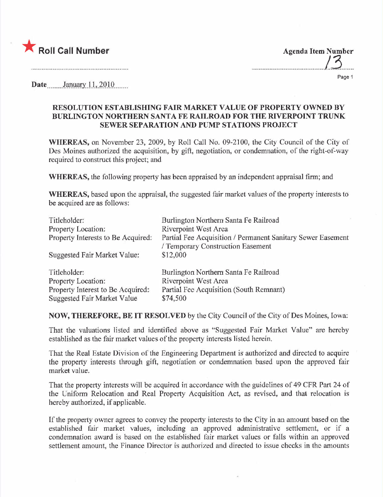

Agenda Item Number ...mmm....\_\_...............m.....13..\_\_...

Page 1

Date ...mmhmlJ.R.l).lL)!U.Q........

## RESOLUTION ESTABLISHING FAIR MARKT VALUE OF PROPERTY OWNED BY BURLINGTON NORTHERN SANTA FE RAILROAD FOR THE R1VERPOINT TRUNK SEWER SEPARATION AND PUMP STATIONS PROJECT

WHEREAS, on November 23, 2009, by Roll Call No. 09-2100, the City Council of the City of Des Moines authorized the acquisition, by gift, negotiation, or condemnation, of the right-of-way required to construct this project; and

WHEREAS, the following property has been appraised by an independent appraisal firm; and

WHEREAS, based upon the appraisal, the suggested fair market values of the property interests to be acquired are as follows:

| Titleholder:                       | Burlington Northern Santa Fe Railroad                       |
|------------------------------------|-------------------------------------------------------------|
| Property Location:                 | <b>Riverpoint West Area</b>                                 |
| Property Interests to Be Acquired: | Partial Fee Acquisition / Permanent Sanitary Sewer Easement |
|                                    | / Temporary Construction Easement                           |
| Suggested Fair Market Value:       | \$12,000                                                    |
| Titleholder:                       | Burlington Northern Santa Fe Railroad                       |
| Property Location:                 | <b>Riverpoint West Area</b>                                 |
| Property Interest to Be Acquired:  | Partial Fee Acquisition (South Remnant)                     |
| Suggested Fair Market Value        | \$74,500                                                    |

NOW, THEREFORE, BE IT RESOLVED by the City Council of the City of Des Moines, Iowa:

That the valuations listed and identified above as "Suggested Fair Market Value" are hereby established as the fair market values of the property interests listed herein.

That the Real Estate Division of the Engineering Department is authorized and directed to acquire the property interests through gift, negotiation or condemnation based upon the approved fair market value.

That the property interests will be acquired in accordance with the guidelines of 49 CFR Part 24 of the Uniform Relocation and Real Property Acquisition Act, as revised, and that relocation is hereby authorized, if applicable.

If the property owner agrees to convey the property interests to the City in an amount based on the established fair market values, including an approved administrative settlement, or if a condemnation award is based on the established fair market values or falls within an approved settlement amount, the Finance Director is authorized and directed to issue checks in the amounts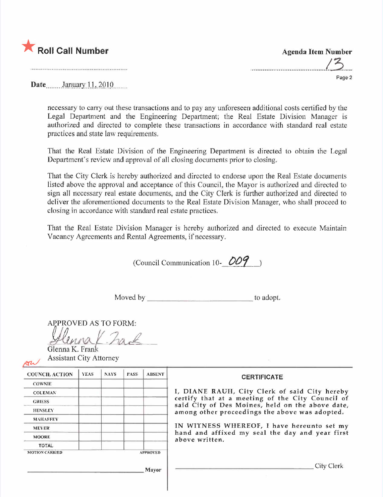

Date........ .J~.u\_'lry:.). i.,. 20 I 0........

necessary to carry out these transactions and to pay any unforeseen additional costs certified by the Legal Department and the Engineering Department; the Real Estate Division Manager is authorized and directed to complete these transactions in accordance with standard real estate practices and state law requirements.

That the Real Estate Division of the Engineering Department is directed to obtain the Legal Department's review and approval of all closing documents prior to closing.

That the City Clerk is hereby authorized and directed to endorse upon the Real Estate documents listed above the approval and acceptance of this Council, the Mayor is authorized and directed to sign all necessary real estate documents, and the City Clerk is further authorized and directed to deliver the aforementioned documents to the Real Estate Division Manager, who shall proceed to closing in accordance with standard real estate practices.

That the Real Estate Division Manager is hereby authorized and directed to execute Maintain Vacancy Agreements and Rental Agreements, if necessary.

(Council Communication 10- $OO9$ )

Moved by to adopt.

APPROVED AS TO FORM:

 $-ha$ Glenna K. Fran Assistant City Attorney

| <b>COUNCIL ACTION</b> | <b>YEAS</b> | <b>NAYS</b> | <b>PASS</b> | <b>ABSENT</b>                                                     | <b>CERTIFICATE</b>                                                                                                                                    |  |  |  |
|-----------------------|-------------|-------------|-------------|-------------------------------------------------------------------|-------------------------------------------------------------------------------------------------------------------------------------------------------|--|--|--|
| <b>COWNIE</b>         |             |             |             |                                                                   |                                                                                                                                                       |  |  |  |
| <b>COLEMAN</b>        |             |             |             |                                                                   | I, DIANE RAUH, City Clerk of said City hereby<br>certify that at a meeting of the City Council of<br>said City of Des Moines, held on the above date, |  |  |  |
| <b>GRIESS</b>         |             |             |             |                                                                   |                                                                                                                                                       |  |  |  |
| <b>HENSLEY</b>        |             |             |             |                                                                   | among other proceedings the above was adopted.                                                                                                        |  |  |  |
| <b>MAHAFFEY</b>       |             |             |             |                                                                   |                                                                                                                                                       |  |  |  |
| <b>MEYER</b>          |             |             |             |                                                                   | IN WITNESS WHEREOF, I have hereunto set my                                                                                                            |  |  |  |
| <b>MOORE</b>          |             |             |             | hand and affixed my seal the day and year first<br>above written. |                                                                                                                                                       |  |  |  |
| <b>TOTAL</b>          |             |             |             |                                                                   |                                                                                                                                                       |  |  |  |
| <b>MOTION CARRIED</b> |             |             |             | <b>APPROVED</b>                                                   |                                                                                                                                                       |  |  |  |
|                       |             |             |             | Mayor                                                             | City Clerk                                                                                                                                            |  |  |  |